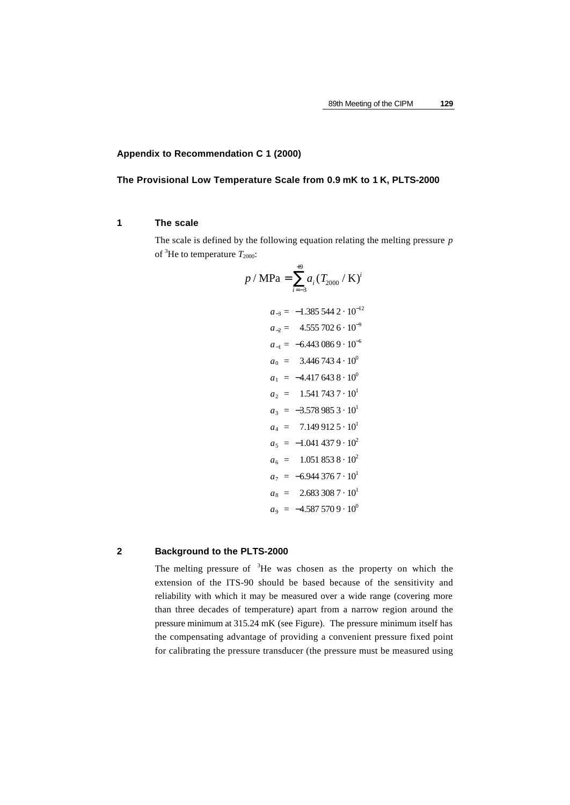# **Appendix to Recommendation C 1 (2000)**

# **The Provisional Low Temperature Scale from 0.9 mK to 1 K, PLTS-2000**

# **1 The scale**

The scale is defined by the following equation relating the melting pressure *p* of <sup>3</sup>He to temperature  $T_{2000}$ :

$$
p / \text{MPa} = \sum_{i=-3}^{+9} a_i (T_{2000} / \text{K})^i
$$
  
\n
$$
a_{-3} = -1.385\,544\,2 \cdot 10^{-12}
$$
  
\n
$$
a_{-2} = 4.555\,702\,6 \cdot 10^{-9}
$$
  
\n
$$
a_{-1} = -6.443\,086\,9 \cdot 10^{-6}
$$
  
\n
$$
a_0 = 3.446\,743\,4 \cdot 10^0
$$
  
\n
$$
a_1 = -4.417\,643\,8 \cdot 10^0
$$
  
\n
$$
a_2 = 1.541\,743\,7 \cdot 10^1
$$
  
\n
$$
a_3 = -3.578\,985\,3 \cdot 10^1
$$
  
\n
$$
a_4 = 7.149\,912\,5 \cdot 10^1
$$
  
\n
$$
a_5 = -1.041\,437\,9 \cdot 10^2
$$
  
\n
$$
a_6 = 1.051\,853\,8 \cdot 10^2
$$
  
\n
$$
a_7 = -6.944\,376\,7 \cdot 10^1
$$
  
\n
$$
a_8 = 2.683\,308\,7 \cdot 10^1
$$
  
\n
$$
a_9 = -4.587\,570\,9 \cdot 10^0
$$

# **2 Background to the PLTS-2000**

The melting pressure of <sup>3</sup>He was chosen as the property on which the extension of the ITS-90 should be based because of the sensitivity and reliability with which it may be measured over a wide range (covering more than three decades of temperature) apart from a narrow region around the pressure minimum at 315.24 mK (see Figure). The pressure minimum itself has the compensating advantage of providing a convenient pressure fixed point for calibrating the pressure transducer (the pressure must be measured using